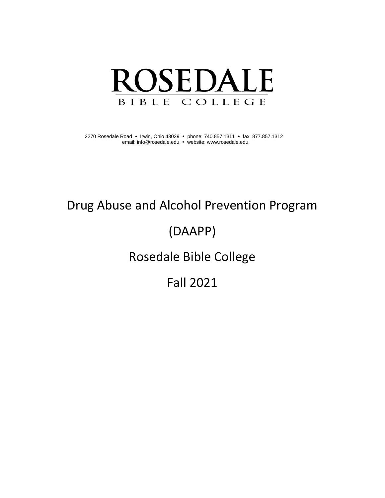

2270 Rosedale Road • Irwin, Ohio 43029 • phone: 740.857.1311 • fax: 877.857.1312 email: [info@rosedale.edu](mailto:info@rosedale.edu) • website[: www.rosedale.edu](http://www.rosedale.edu/)

# Drug Abuse and Alcohol Prevention Program

# (DAAPP)

# Rosedale Bible College

# Fall 2021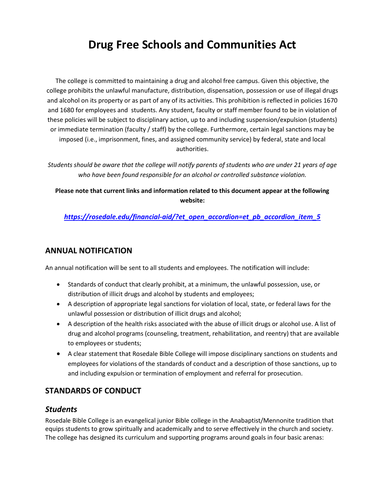# **Drug Free Schools and Communities Act**

The college is committed to maintaining a drug and alcohol free campus. Given this objective, the college prohibits the unlawful manufacture, distribution, dispensation, possession or use of illegal drugs and alcohol on its property or as part of any of its activities. This prohibition is reflected in policies 1670 and 1680 for employees and students. Any student, faculty or staff member found to be in violation of these policies will be subject to disciplinary action, up to and including suspension/expulsion (students) or immediate termination (faculty / staff) by the college. Furthermore, certain legal sanctions may be imposed (i.e., imprisonment, fines, and assigned community service) by federal, state and local authorities.

*Students should be aware that the college will notify parents of students who are under 21 years of age who have been found responsible for an alcohol or controlled substance violation.*

**Please note that current links and information related to this document appear at the following website:**

*[https://rosedale.edu/financial-aid/?et\\_open\\_accordion=et\\_pb\\_accordion\\_item\\_5](https://rosedale.edu/financial-aid/?et_open_accordion=et_pb_accordion_item_5)*

## **ANNUAL NOTIFICATION**

An annual notification will be sent to all students and employees. The notification will include:

- Standards of conduct that clearly prohibit, at a minimum, the unlawful possession, use, or distribution of illicit drugs and alcohol by students and employees;
- A description of appropriate legal sanctions for violation of local, state, or federal laws for the unlawful possession or distribution of illicit drugs and alcohol;
- A description of the health risks associated with the abuse of illicit drugs or alcohol use. A list of drug and alcohol programs (counseling, treatment, rehabilitation, and reentry) that are available to employees or students;
- A clear statement that Rosedale Bible College will impose disciplinary sanctions on students and employees for violations of the standards of conduct and a description of those sanctions, up to and including expulsion or termination of employment and referral for prosecution.

## **STANDARDS OF CONDUCT**

## *Students*

Rosedale Bible College is an evangelical junior Bible college in the Anabaptist/Mennonite tradition that equips students to grow spiritually and academically and to serve effectively in the church and society. The college has designed its curriculum and supporting programs around goals in four basic arenas: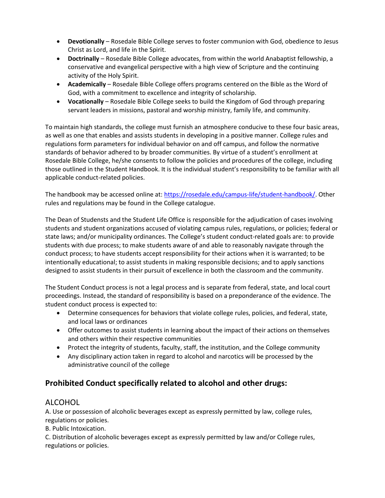- **Devotionally** Rosedale Bible College serves to foster communion with God, obedience to Jesus Christ as Lord, and life in the Spirit.
- **Doctrinally** Rosedale Bible College advocates, from within the world Anabaptist fellowship, a conservative and evangelical perspective with a high view of Scripture and the continuing activity of the Holy Spirit.
- **Academically** Rosedale Bible College offers programs centered on the Bible as the Word of God, with a commitment to excellence and integrity of scholarship.
- **Vocationally** Rosedale Bible College seeks to build the Kingdom of God through preparing servant leaders in missions, pastoral and worship ministry, family life, and community.

To maintain high standards, the college must furnish an atmosphere conducive to these four basic areas, as well as one that enables and assists students in developing in a positive manner. College rules and regulations form parameters for individual behavior on and off campus, and follow the normative standards of behavior adhered to by broader communities. By virtue of a student's enrollment at Rosedale Bible College, he/she consents to follow the policies and procedures of the college, including those outlined in the Student Handbook. It is the individual student's responsibility to be familiar with all applicable conduct-related policies.

The handbook may be accessed online at: [https://rosedale.edu/campus-life/student-handbook/.](https://rosedale.edu/campus-life/student-handbook/) Other rules and regulations may be found in the College catalogue.

The Dean of Studensts and the Student Life Office is responsible for the adjudication of cases involving students and student organizations accused of violating campus rules, regulations, or policies; federal or state laws; and/or municipality ordinances. The College's student conduct-related goals are: to provide students with due process; to make students aware of and able to reasonably navigate through the conduct process; to have students accept responsibility for their actions when it is warranted; to be intentionally educational; to assist students in making responsible decisions; and to apply sanctions designed to assist students in their pursuit of excellence in both the classroom and the community.

The Student Conduct process is not a legal process and is separate from federal, state, and local court proceedings. Instead, the standard of responsibility is based on a preponderance of the evidence. The student conduct process is expected to:

- Determine consequences for behaviors that violate college rules, policies, and federal, state, and local laws or ordinances
- Offer outcomes to assist students in learning about the impact of their actions on themselves and others within their respective communities
- Protect the integrity of students, faculty, staff, the institution, and the College community
- Any disciplinary action taken in regard to alcohol and narcotics will be processed by the administrative council of the college

## **Prohibited Conduct specifically related to alcohol and other drugs:**

## ALCOHOL

A. Use or possession of alcoholic beverages except as expressly permitted by law, college rules, regulations or policies.

B. Public Intoxication.

C. Distribution of alcoholic beverages except as expressly permitted by law and/or College rules, regulations or policies.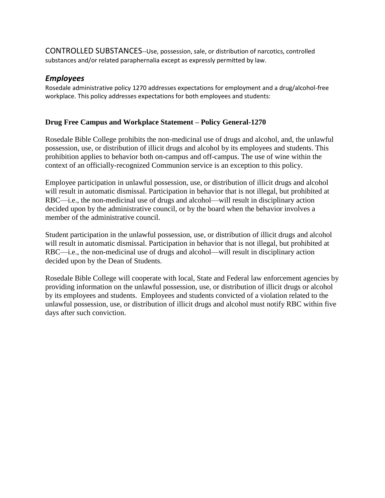CONTROLLED SUBSTANCES--Use, possession, sale, or distribution of narcotics, controlled substances and/or related paraphernalia except as expressly permitted by law.

## *Employees*

Rosedale administrative policy 1270 addresses expectations for employment and a drug/alcohol-free workplace. This policy addresses expectations for both employees and students:

### **Drug Free Campus and Workplace Statement – Policy General-1270**

Rosedale Bible College prohibits the non-medicinal use of drugs and alcohol, and, the unlawful possession, use, or distribution of illicit drugs and alcohol by its employees and students. This prohibition applies to behavior both on-campus and off-campus. The use of wine within the context of an officially-recognized Communion service is an exception to this policy.

Employee participation in unlawful possession, use, or distribution of illicit drugs and alcohol will result in automatic dismissal. Participation in behavior that is not illegal, but prohibited at RBC—i.e., the non-medicinal use of drugs and alcohol—will result in disciplinary action decided upon by the administrative council, or by the board when the behavior involves a member of the administrative council.

Student participation in the unlawful possession, use, or distribution of illicit drugs and alcohol will result in automatic dismissal. Participation in behavior that is not illegal, but prohibited at RBC—i.e., the non-medicinal use of drugs and alcohol—will result in disciplinary action decided upon by the Dean of Students.

Rosedale Bible College will cooperate with local, State and Federal law enforcement agencies by providing information on the unlawful possession, use, or distribution of illicit drugs or alcohol by its employees and students. Employees and students convicted of a violation related to the unlawful possession, use, or distribution of illicit drugs and alcohol must notify RBC within five days after such conviction.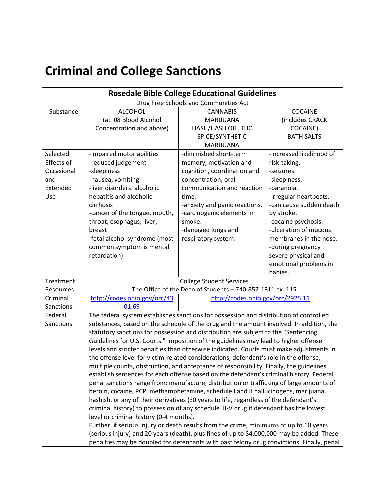# **Criminal and College Sanctions**

| <b>Rosedale Bible College Educational Guidelines</b> |                                                                                            |                                   |                          |  |  |  |
|------------------------------------------------------|--------------------------------------------------------------------------------------------|-----------------------------------|--------------------------|--|--|--|
| Drug Free Schools and Communities Act                |                                                                                            |                                   |                          |  |  |  |
| Substance                                            | <b>ALCOHOL</b>                                                                             | <b>CANNABIS</b>                   | COCAINE                  |  |  |  |
|                                                      | (at .08 Blood Alcohol                                                                      | MARIJUANA                         | (includes CRACK          |  |  |  |
|                                                      | Concentration and above)                                                                   | HASH/HASH OIL, THC                | COCAINE)                 |  |  |  |
|                                                      |                                                                                            | SPICE/SYNTHETIC                   | <b>BATH SALTS</b>        |  |  |  |
|                                                      |                                                                                            | <b>MARIJUANA</b>                  |                          |  |  |  |
| Selected                                             | -impaired motor abilities                                                                  | -diminished short-term            | -increased likelihood of |  |  |  |
| Effects of                                           | -reduced judgement                                                                         | memory, motivation and            | risk-taking.             |  |  |  |
| Occasional                                           | -sleepiness                                                                                | cognition, coordination and       | -seizures.               |  |  |  |
| and                                                  | -nausea, vomiting                                                                          | concentration, oral               | -sleepiness.             |  |  |  |
| Extended                                             | -liver disorders: alcoholic                                                                | communication and reaction        | -paranoia.               |  |  |  |
| Use                                                  | hepatitis and alcoholic                                                                    | time.                             | -irregular heartbeats.   |  |  |  |
|                                                      | cirrhosis                                                                                  | -anxiety and panic reactions.     | -can cause sudden death  |  |  |  |
|                                                      | -cancer of the tongue, mouth,                                                              | -carcinogenic elements in         | by stroke.               |  |  |  |
|                                                      | throat, esophagus, liver,                                                                  | smoke.                            | -cocaine psychosis.      |  |  |  |
|                                                      | breast                                                                                     | -damaged lungs and                | -ulceration of mucous    |  |  |  |
|                                                      | -fetal alcohol syndrome (most                                                              | respiratory system.               | membranes in the nose.   |  |  |  |
|                                                      | common symptom is mental                                                                   |                                   | -during pregnancy        |  |  |  |
|                                                      | retardation)                                                                               |                                   | severe physical and      |  |  |  |
|                                                      |                                                                                            |                                   | emotional problems in    |  |  |  |
|                                                      |                                                                                            |                                   | babies.                  |  |  |  |
| Treatment                                            | <b>College Student Services</b>                                                            |                                   |                          |  |  |  |
| Resources                                            | The Office of the Dean of Students - 740-857-1311 ex. 115                                  |                                   |                          |  |  |  |
| Criminal                                             | http://codes.ohio.gov/orc/43                                                               | http://codes.ohio.gov/orc/2925.11 |                          |  |  |  |
| Sanctions                                            | 01.69                                                                                      |                                   |                          |  |  |  |
| Federal                                              | The federal system establishes sanctions for possession and distribution of controlled     |                                   |                          |  |  |  |
| Sanctions                                            | substances, based on the schedule of the drug and the amount involved. In addition, the    |                                   |                          |  |  |  |
|                                                      | statutory sanctions for possession and distribution are subject to the "Sentencing         |                                   |                          |  |  |  |
|                                                      | Guidelines for U.S. Courts." Imposition of the guidelines may lead to higher offense       |                                   |                          |  |  |  |
|                                                      | levels and stricter penalties than otherwise indicated. Courts must make adjustments in    |                                   |                          |  |  |  |
|                                                      | the offense level for victim-related considerations, defendant's role in the offense,      |                                   |                          |  |  |  |
|                                                      | multiple counts, obstruction, and acceptance of responsibility. Finally, the guidelines    |                                   |                          |  |  |  |
|                                                      | establish sentences for each offense based on the defendant's criminal history. Federal    |                                   |                          |  |  |  |
|                                                      | penal sanctions range from: manufacture, distribution or trafficking of large amounts of   |                                   |                          |  |  |  |
|                                                      | heroin, cocaine, PCP, methamphetamine, schedule I and II hallucinogens, marijuana,         |                                   |                          |  |  |  |
|                                                      | hashish, or any of their derivatives (30 years to life, regardless of the defendant's      |                                   |                          |  |  |  |
|                                                      | criminal history) to possession of any schedule III-V drug if defendant has the lowest     |                                   |                          |  |  |  |
|                                                      | level or criminal history (0-4 months).                                                    |                                   |                          |  |  |  |
|                                                      | Further, if serious injury or death results from the crime, minimums of up to 10 years     |                                   |                          |  |  |  |
|                                                      | (serious injury) and 20 years (death), plus fines of up to \$4,000,000 may be added. These |                                   |                          |  |  |  |
|                                                      | penalties may be doubled for defendants with past felony drug convictions. Finally, penal  |                                   |                          |  |  |  |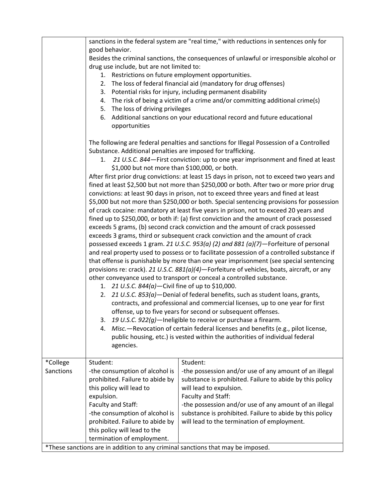|           | sanctions in the federal system are "real time," with reductions in sentences only for                                                                                                                                                                                                                                                                                                                                                                                                                                                                                                                                                                                                                                                                                                                                                                                                                                                                                                                                                                                                                                                                                                                                                                                                                                                                                                                                                                                                                                                                                                                                                                                                                                                                                                               |                                                                              |  |  |  |
|-----------|------------------------------------------------------------------------------------------------------------------------------------------------------------------------------------------------------------------------------------------------------------------------------------------------------------------------------------------------------------------------------------------------------------------------------------------------------------------------------------------------------------------------------------------------------------------------------------------------------------------------------------------------------------------------------------------------------------------------------------------------------------------------------------------------------------------------------------------------------------------------------------------------------------------------------------------------------------------------------------------------------------------------------------------------------------------------------------------------------------------------------------------------------------------------------------------------------------------------------------------------------------------------------------------------------------------------------------------------------------------------------------------------------------------------------------------------------------------------------------------------------------------------------------------------------------------------------------------------------------------------------------------------------------------------------------------------------------------------------------------------------------------------------------------------------|------------------------------------------------------------------------------|--|--|--|
|           | good behavior.                                                                                                                                                                                                                                                                                                                                                                                                                                                                                                                                                                                                                                                                                                                                                                                                                                                                                                                                                                                                                                                                                                                                                                                                                                                                                                                                                                                                                                                                                                                                                                                                                                                                                                                                                                                       |                                                                              |  |  |  |
|           | Besides the criminal sanctions, the consequences of unlawful or irresponsible alcohol or                                                                                                                                                                                                                                                                                                                                                                                                                                                                                                                                                                                                                                                                                                                                                                                                                                                                                                                                                                                                                                                                                                                                                                                                                                                                                                                                                                                                                                                                                                                                                                                                                                                                                                             |                                                                              |  |  |  |
|           | drug use include, but are not limited to:<br>1. Restrictions on future employment opportunities.                                                                                                                                                                                                                                                                                                                                                                                                                                                                                                                                                                                                                                                                                                                                                                                                                                                                                                                                                                                                                                                                                                                                                                                                                                                                                                                                                                                                                                                                                                                                                                                                                                                                                                     |                                                                              |  |  |  |
|           | 2. The loss of federal financial aid (mandatory for drug offenses)                                                                                                                                                                                                                                                                                                                                                                                                                                                                                                                                                                                                                                                                                                                                                                                                                                                                                                                                                                                                                                                                                                                                                                                                                                                                                                                                                                                                                                                                                                                                                                                                                                                                                                                                   |                                                                              |  |  |  |
|           | 3. Potential risks for injury, including permanent disability                                                                                                                                                                                                                                                                                                                                                                                                                                                                                                                                                                                                                                                                                                                                                                                                                                                                                                                                                                                                                                                                                                                                                                                                                                                                                                                                                                                                                                                                                                                                                                                                                                                                                                                                        |                                                                              |  |  |  |
|           | 4. The risk of being a victim of a crime and/or committing additional crime(s)                                                                                                                                                                                                                                                                                                                                                                                                                                                                                                                                                                                                                                                                                                                                                                                                                                                                                                                                                                                                                                                                                                                                                                                                                                                                                                                                                                                                                                                                                                                                                                                                                                                                                                                       |                                                                              |  |  |  |
|           | 5. The loss of driving privileges                                                                                                                                                                                                                                                                                                                                                                                                                                                                                                                                                                                                                                                                                                                                                                                                                                                                                                                                                                                                                                                                                                                                                                                                                                                                                                                                                                                                                                                                                                                                                                                                                                                                                                                                                                    |                                                                              |  |  |  |
|           | opportunities                                                                                                                                                                                                                                                                                                                                                                                                                                                                                                                                                                                                                                                                                                                                                                                                                                                                                                                                                                                                                                                                                                                                                                                                                                                                                                                                                                                                                                                                                                                                                                                                                                                                                                                                                                                        | 6. Additional sanctions on your educational record and future educational    |  |  |  |
|           | The following are federal penalties and sanctions for Illegal Possession of a Controlled<br>Substance. Additional penalties are imposed for trafficking.<br>21 U.S.C. 844-First conviction: up to one year imprisonment and fined at least<br>1.                                                                                                                                                                                                                                                                                                                                                                                                                                                                                                                                                                                                                                                                                                                                                                                                                                                                                                                                                                                                                                                                                                                                                                                                                                                                                                                                                                                                                                                                                                                                                     |                                                                              |  |  |  |
|           |                                                                                                                                                                                                                                                                                                                                                                                                                                                                                                                                                                                                                                                                                                                                                                                                                                                                                                                                                                                                                                                                                                                                                                                                                                                                                                                                                                                                                                                                                                                                                                                                                                                                                                                                                                                                      |                                                                              |  |  |  |
|           | \$1,000 but not more than \$100,000, or both.<br>After first prior drug convictions: at least 15 days in prison, not to exceed two years and<br>fined at least \$2,500 but not more than \$250,000 or both. After two or more prior drug<br>convictions: at least 90 days in prison, not to exceed three years and fined at least<br>\$5,000 but not more than \$250,000 or both. Special sentencing provisions for possession<br>of crack cocaine: mandatory at least five years in prison, not to exceed 20 years and<br>fined up to \$250,000, or both if: (a) first conviction and the amount of crack possessed<br>exceeds 5 grams, (b) second crack conviction and the amount of crack possessed<br>exceeds 3 grams, third or subsequent crack conviction and the amount of crack<br>possessed exceeds 1 gram. 21 U.S.C. 953(a) (2) and 881 (a)(7)-Forfeiture of personal<br>and real property used to possess or to facilitate possession of a controlled substance if<br>that offense is punishable by more than one year imprisonment (see special sentencing<br>provisions re: crack). 21 U.S.C. 881(a)(4)-Forfeiture of vehicles, boats, aircraft, or any<br>other conveyance used to transport or conceal a controlled substance.<br>1. 21 U.S.C. 844(a)-Civil fine of up to \$10,000.<br>2. 21 U.S.C. 853(a)-Denial of federal benefits, such as student loans, grants,<br>contracts, and professional and commercial licenses, up to one year for first<br>offense, up to five years for second or subsequent offenses.<br>19 U.S.C. 922(g)—Ineligible to receive or purchase a firearm.<br>3.<br>Misc. - Revocation of certain federal licenses and benefits (e.g., pilot license,<br>4.<br>public housing, etc.) is vested within the authorities of individual federal<br>agencies. |                                                                              |  |  |  |
| *College  | Student:                                                                                                                                                                                                                                                                                                                                                                                                                                                                                                                                                                                                                                                                                                                                                                                                                                                                                                                                                                                                                                                                                                                                                                                                                                                                                                                                                                                                                                                                                                                                                                                                                                                                                                                                                                                             | Student:                                                                     |  |  |  |
| Sanctions | -the consumption of alcohol is                                                                                                                                                                                                                                                                                                                                                                                                                                                                                                                                                                                                                                                                                                                                                                                                                                                                                                                                                                                                                                                                                                                                                                                                                                                                                                                                                                                                                                                                                                                                                                                                                                                                                                                                                                       | -the possession and/or use of any amount of an illegal                       |  |  |  |
|           | prohibited. Failure to abide by                                                                                                                                                                                                                                                                                                                                                                                                                                                                                                                                                                                                                                                                                                                                                                                                                                                                                                                                                                                                                                                                                                                                                                                                                                                                                                                                                                                                                                                                                                                                                                                                                                                                                                                                                                      | substance is prohibited. Failure to abide by this policy                     |  |  |  |
|           | this policy will lead to                                                                                                                                                                                                                                                                                                                                                                                                                                                                                                                                                                                                                                                                                                                                                                                                                                                                                                                                                                                                                                                                                                                                                                                                                                                                                                                                                                                                                                                                                                                                                                                                                                                                                                                                                                             | will lead to expulsion.                                                      |  |  |  |
|           | expulsion.<br>Faculty and Staff:                                                                                                                                                                                                                                                                                                                                                                                                                                                                                                                                                                                                                                                                                                                                                                                                                                                                                                                                                                                                                                                                                                                                                                                                                                                                                                                                                                                                                                                                                                                                                                                                                                                                                                                                                                     | Faculty and Staff:<br>-the possession and/or use of any amount of an illegal |  |  |  |
|           | -the consumption of alcohol is                                                                                                                                                                                                                                                                                                                                                                                                                                                                                                                                                                                                                                                                                                                                                                                                                                                                                                                                                                                                                                                                                                                                                                                                                                                                                                                                                                                                                                                                                                                                                                                                                                                                                                                                                                       | substance is prohibited. Failure to abide by this policy                     |  |  |  |
|           | prohibited. Failure to abide by                                                                                                                                                                                                                                                                                                                                                                                                                                                                                                                                                                                                                                                                                                                                                                                                                                                                                                                                                                                                                                                                                                                                                                                                                                                                                                                                                                                                                                                                                                                                                                                                                                                                                                                                                                      | will lead to the termination of employment.                                  |  |  |  |
|           | this policy will lead to the                                                                                                                                                                                                                                                                                                                                                                                                                                                                                                                                                                                                                                                                                                                                                                                                                                                                                                                                                                                                                                                                                                                                                                                                                                                                                                                                                                                                                                                                                                                                                                                                                                                                                                                                                                         |                                                                              |  |  |  |
|           | termination of employment.                                                                                                                                                                                                                                                                                                                                                                                                                                                                                                                                                                                                                                                                                                                                                                                                                                                                                                                                                                                                                                                                                                                                                                                                                                                                                                                                                                                                                                                                                                                                                                                                                                                                                                                                                                           |                                                                              |  |  |  |
|           | *These sanctions are in addition to any criminal sanctions that may be imposed.                                                                                                                                                                                                                                                                                                                                                                                                                                                                                                                                                                                                                                                                                                                                                                                                                                                                                                                                                                                                                                                                                                                                                                                                                                                                                                                                                                                                                                                                                                                                                                                                                                                                                                                      |                                                                              |  |  |  |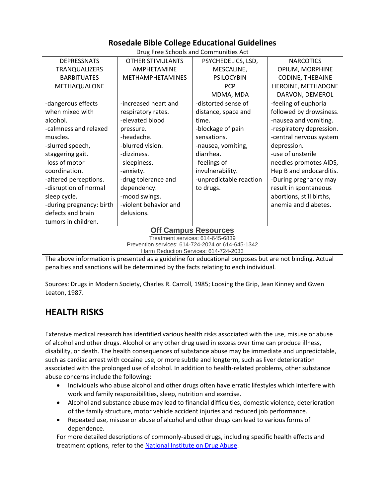| <b>Rosedale Bible College Educational Guidelines</b>                                                   |                         |                         |                          |  |  |  |  |
|--------------------------------------------------------------------------------------------------------|-------------------------|-------------------------|--------------------------|--|--|--|--|
| Drug Free Schools and Communities Act                                                                  |                         |                         |                          |  |  |  |  |
| <b>DEPRESSNATS</b>                                                                                     | <b>OTHER STIMULANTS</b> | PSYCHEDELICS, LSD,      | <b>NARCOTICS</b>         |  |  |  |  |
| <b>TRANQUALIZERS</b>                                                                                   | <b>AMPHETAMINE</b>      | MESCALINE,              | OPIUM, MORPHINE          |  |  |  |  |
| <b>BARBITUATES</b>                                                                                     | <b>METHAMPHETAMINES</b> | <b>PSILOCYBIN</b>       | <b>CODINE, THEBAINE</b>  |  |  |  |  |
| <b>METHAQUALONE</b>                                                                                    |                         | <b>PCP</b>              | HEROINE, METHADONE       |  |  |  |  |
|                                                                                                        |                         | MDMA, MDA               | DARVON, DEMEROL          |  |  |  |  |
| -dangerous effects                                                                                     | -increased heart and    | -distorted sense of     | -feeling of euphoria     |  |  |  |  |
| when mixed with                                                                                        | respiratory rates.      | distance, space and     | followed by drowsiness.  |  |  |  |  |
| alcohol.                                                                                               | -elevated blood         | time.                   | -nausea and vomiting.    |  |  |  |  |
| -calmness and relaxed                                                                                  | pressure.               | -blockage of pain       | -respiratory depression. |  |  |  |  |
| muscles.                                                                                               | -headache.              | sensations.             | -central nervous system  |  |  |  |  |
| -slurred speech,                                                                                       | -blurred vision.        | -nausea, vomiting,      | depression.              |  |  |  |  |
| staggering gait.                                                                                       | -dizziness.             | diarrhea.               | -use of unsterile        |  |  |  |  |
| -loss of motor                                                                                         | -sleepiness.            | -feelings of            | needles promotes AIDS,   |  |  |  |  |
| coordination.                                                                                          | -anxiety.               | invulnerability.        | Hep B and endocarditis.  |  |  |  |  |
| -altered perceptions.                                                                                  | -drug tolerance and     | -unpredictable reaction | -During pregnancy may    |  |  |  |  |
| -disruption of normal                                                                                  | dependency.             | to drugs.               | result in spontaneous    |  |  |  |  |
| sleep cycle.                                                                                           | -mood swings.           |                         | abortions, still births, |  |  |  |  |
| -during pregnancy: birth                                                                               | -violent behavior and   |                         | anemia and diabetes.     |  |  |  |  |
| defects and brain                                                                                      | delusions.              |                         |                          |  |  |  |  |
| tumors in children.                                                                                    |                         |                         |                          |  |  |  |  |
| <b>Off Campus Resources</b>                                                                            |                         |                         |                          |  |  |  |  |
| Treatment services: 614-645-6839                                                                       |                         |                         |                          |  |  |  |  |
| Prevention services: 614-724-2024 or 614-645-1342<br>Harm Reduction Services: 614-724-2033             |                         |                         |                          |  |  |  |  |
| The above information is presented as a guideline for educational purposes but are not binding. Actual |                         |                         |                          |  |  |  |  |
| penalties and sanctions will be determined by the facts relating to each individual.                   |                         |                         |                          |  |  |  |  |
|                                                                                                        |                         |                         |                          |  |  |  |  |

Sources: Drugs in Modern Society, Charles R. Carroll, 1985; Loosing the Grip, Jean Kinney and Gwen Leaton, 1987.

# **HEALTH RISKS**

Extensive medical research has identified various health risks associated with the use, misuse or abuse of alcohol and other drugs. Alcohol or any other drug used in excess over time can produce illness, disability, or death. The health consequences of substance abuse may be immediate and unpredictable, such as cardiac arrest with cocaine use, or more subtle and longterm, such as liver deterioration associated with the prolonged use of alcohol. In addition to health-related problems, other substance abuse concerns include the following:

- Individuals who abuse alcohol and other drugs often have erratic lifestyles which interfere with work and family responsibilities, sleep, nutrition and exercise.
- Alcohol and substance abuse may lead to financial difficulties, domestic violence, deterioration of the family structure, motor vehicle accident injuries and reduced job performance.
- Repeated use, misuse or abuse of alcohol and other drugs can lead to various forms of dependence.

For more detailed descriptions of commonly-abused drugs, including specific health effects and treatment options, refer to the [National Institute on Drug Abuse.](https://www.drugabuse.gov/drugs-abuse/commonly-abused-drugs-charts)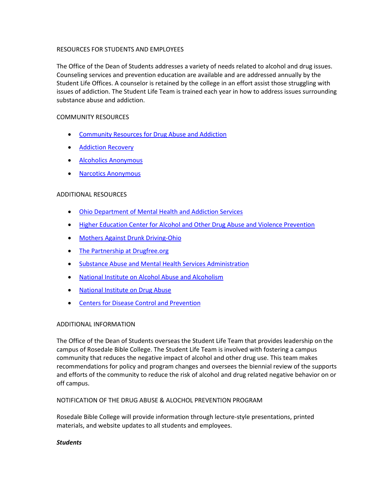### RESOURCES FOR STUDENTS AND EMPLOYEES

The Office of the Dean of Students addresses a variety of needs related to alcohol and drug issues. Counseling services and prevention education are available and are addressed annually by the Student Life Offices. A counselor is retained by the college in an effort assist those struggling with issues of addiction. The Student Life Team is trained each year in how to address issues surrounding substance abuse and addiction.

### COMMUNITY RESOURCES

- [Community Resources for Drug Abuse and Addiction](https://www.addictioncenter.com/community-resources/)
- **•** [Addiction Recovery](https://www.recovery.org/)
- [Alcoholics Anonymous](https://aacentralohio.org/)
- [Narcotics Anonymous](https://centralohionarcoticsanonymous.org/)

### ADDITIONAL RESOURCES

- [Ohio Department of Mental Health and Addiction Services](http://mha.ohio.gov/)
- **[Higher Education Center for Alcohol and Other Drug Abuse and Violence Prevention](http://www.campushealthandsafety.org/resources/resource_rws_225.html)**
- [Mothers Against Drunk Driving-Ohio](https://www.madd.org/)
- [The Partnership at Drugfree.org](https://drugfree.org/)
- [Substance Abuse and Mental Health Services Administration](https://www.samhsa.gov/)
- [National Institute on Alcohol Abuse and Alcoholism](https://www.niaaa.nih.gov/)
- [National Institute on Drug Abuse](https://www.drugabuse.gov/)
- [Centers for Disease Control and Prevention](https://www.cdc.gov/)

### ADDITIONAL INFORMATION

The Office of the Dean of Students overseas the Student Life Team that provides leadership on the campus of Rosedale Bible College. The Student Life Team is involved with fostering a campus community that reduces the negative impact of alcohol and other drug use. This team makes recommendations for policy and program changes and oversees the biennial review of the supports and efforts of the community to reduce the risk of alcohol and drug related negative behavior on or off campus.

#### NOTIFICATION OF THE DRUG ABUSE & ALOCHOL PREVENTION PROGRAM

Rosedale Bible College will provide information through lecture-style presentations, printed materials, and website updates to all students and employees.

### *Students*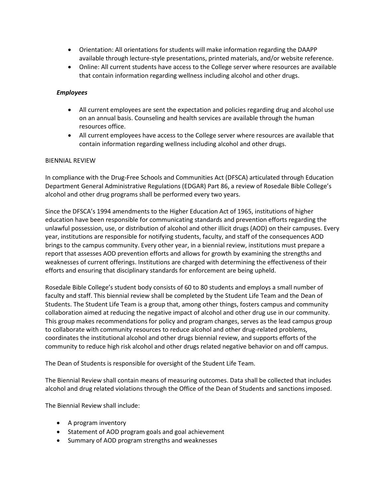- Orientation: All orientations for students will make information regarding the DAAPP available through lecture-style presentations, printed materials, and/or website reference.
- Online: All current students have access to the College server where resources are available that contain information regarding wellness including alcohol and other drugs.

### *Employees*

- All current employees are sent the expectation and policies regarding drug and alcohol use on an annual basis. Counseling and health services are available through the human resources office.
- All current employees have access to the College server where resources are available that contain information regarding wellness including alcohol and other drugs.

### BIENNIAL REVIEW

In compliance with the Drug-Free Schools and Communities Act (DFSCA) articulated through Education Department General Administrative Regulations (EDGAR) Part 86, a review of Rosedale Bible College's alcohol and other drug programs shall be performed every two years.

Since the DFSCA's 1994 amendments to the Higher Education Act of 1965, institutions of higher education have been responsible for communicating standards and prevention efforts regarding the unlawful possession, use, or distribution of alcohol and other illicit drugs (AOD) on their campuses. Every year, institutions are responsible for notifying students, faculty, and staff of the consequences AOD brings to the campus community. Every other year, in a biennial review, institutions must prepare a report that assesses AOD prevention efforts and allows for growth by examining the strengths and weaknesses of current offerings. Institutions are charged with determining the effectiveness of their efforts and ensuring that disciplinary standards for enforcement are being upheld.

Rosedale Bible College's student body consists of 60 to 80 students and employs a small number of faculty and staff. This biennial review shall be completed by the Student Life Team and the Dean of Students. The Student Life Team is a group that, among other things, fosters campus and community collaboration aimed at reducing the negative impact of alcohol and other drug use in our community. This group makes recommendations for policy and program changes, serves as the lead campus group to collaborate with community resources to reduce alcohol and other drug-related problems, coordinates the institutional alcohol and other drugs biennial review, and supports efforts of the community to reduce high risk alcohol and other drugs related negative behavior on and off campus.

The Dean of Students is responsible for oversight of the Student Life Team.

The Biennial Review shall contain means of measuring outcomes. Data shall be collected that includes alcohol and drug related violations through the Office of the Dean of Students and sanctions imposed.

The Biennial Review shall include:

- A program inventory
- Statement of AOD program goals and goal achievement
- Summary of AOD program strengths and weaknesses